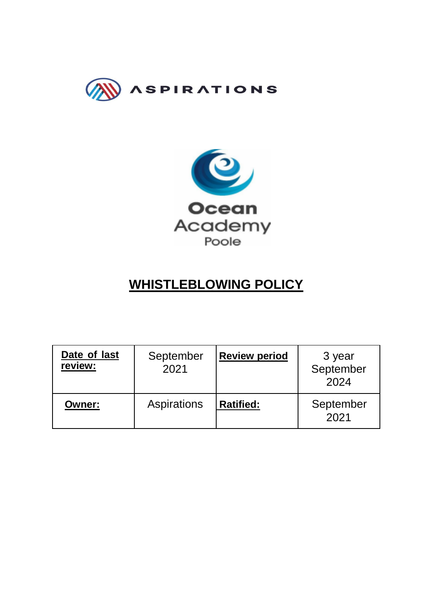



# **WHISTLEBLOWING POLICY**

| Date of last<br>review: | September<br>2021 | <b>Review period</b> | 3 year<br>September<br>2024 |
|-------------------------|-------------------|----------------------|-----------------------------|
| <b>Owner:</b>           | Aspirations       | <b>Ratified:</b>     | September<br>2021           |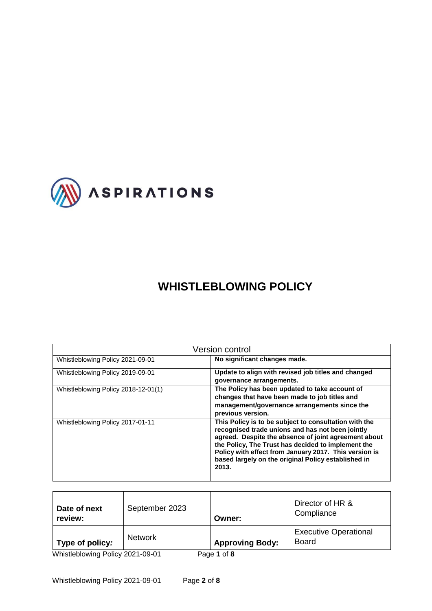

## **WHISTLEBLOWING POLICY**

| <b>Version control</b>              |                                                                                                                                                                                                                                                                                                                                                  |  |  |  |  |
|-------------------------------------|--------------------------------------------------------------------------------------------------------------------------------------------------------------------------------------------------------------------------------------------------------------------------------------------------------------------------------------------------|--|--|--|--|
| Whistleblowing Policy 2021-09-01    | No significant changes made.                                                                                                                                                                                                                                                                                                                     |  |  |  |  |
| Whistleblowing Policy 2019-09-01    | Update to align with revised job titles and changed<br>governance arrangements.                                                                                                                                                                                                                                                                  |  |  |  |  |
| Whistleblowing Policy 2018-12-01(1) | The Policy has been updated to take account of<br>changes that have been made to job titles and<br>management/governance arrangements since the<br>previous version.                                                                                                                                                                             |  |  |  |  |
| Whistleblowing Policy 2017-01-11    | This Policy is to be subject to consultation with the<br>recognised trade unions and has not been jointly<br>agreed. Despite the absence of joint agreement about<br>the Policy, The Trust has decided to implement the<br>Policy with effect from January 2017. This version is<br>based largely on the original Policy established in<br>2013. |  |  |  |  |

| Date of next<br>review:                                                               | September 2023 | Owner:                 | Director of HR &<br>Compliance               |  |  |
|---------------------------------------------------------------------------------------|----------------|------------------------|----------------------------------------------|--|--|
| Type of policy:                                                                       | <b>Network</b> | <b>Approving Body:</b> | <b>Executive Operational</b><br><b>Board</b> |  |  |
| Whietlablowing Daliey 2021 00:01<br>$D_{0}$ $\alpha$ $\alpha$ $\beta$ $\beta$ $\beta$ |                |                        |                                              |  |  |

Whistleblowing Policy 2021-09-01 Page **1** of **8**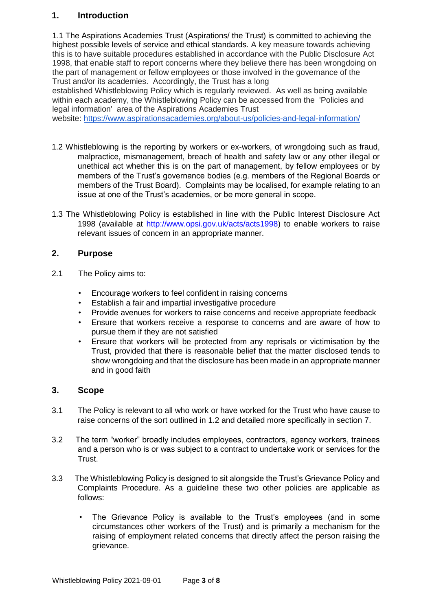## **1. Introduction**

1.1 The Aspirations Academies Trust (Aspirations/ the Trust) is committed to achieving the highest possible levels of service and ethical standards. A key measure towards achieving this is to have suitable procedures established in accordance with the Public Disclosure Act 1998, that enable staff to report concerns where they believe there has been wrongdoing on the part of management or fellow employees or those involved in the governance of the Trust and/or its academies. Accordingly, the Trust has a long

established Whistleblowing Policy which is regularly reviewed. As well as being available within each academy, the Whistleblowing Policy can be accessed from the 'Policies and legal information' area of the Aspirations Academies Trust

website: <https://www.aspirationsacademies.org/about-us/policies-and-legal-information/>

- 1.2 Whistleblowing is the reporting by workers or ex-workers, of wrongdoing such as fraud, malpractice, mismanagement, breach of health and safety law or any other illegal or unethical act whether this is on the part of management, by fellow employees or by members of the Trust's governance bodies (e.g. members of the Regional Boards or members of the Trust Board). Complaints may be localised, for example relating to an issue at one of the Trust's academies, or be more general in scope.
- 1.3 The Whistleblowing Policy is established in line with the Public Interest Disclosure Act 1998 (available at [http://www.opsi.gov.uk/acts/acts1998\)](http://www.opsi.gov.uk/acts/acts1998) to enable workers to raise relevant issues of concern in an appropriate manner.

## **2. Purpose**

- 2.1 The Policy aims to:
	- Encourage workers to feel confident in raising concerns
	- Establish a fair and impartial investigative procedure
	- Provide avenues for workers to raise concerns and receive appropriate feedback
	- Ensure that workers receive a response to concerns and are aware of how to pursue them if they are not satisfied
	- Ensure that workers will be protected from any reprisals or victimisation by the Trust, provided that there is reasonable belief that the matter disclosed tends to show wrongdoing and that the disclosure has been made in an appropriate manner and in good faith

## **3. Scope**

- 3.1 The Policy is relevant to all who work or have worked for the Trust who have cause to raise concerns of the sort outlined in 1.2 and detailed more specifically in section 7.
- 3.2 The term "worker" broadly includes employees, contractors, agency workers, trainees and a person who is or was subject to a contract to undertake work or services for the Trust.
- 3.3 The Whistleblowing Policy is designed to sit alongside the Trust's Grievance Policy and Complaints Procedure. As a guideline these two other policies are applicable as follows:
	- The Grievance Policy is available to the Trust's employees (and in some circumstances other workers of the Trust) and is primarily a mechanism for the raising of employment related concerns that directly affect the person raising the grievance.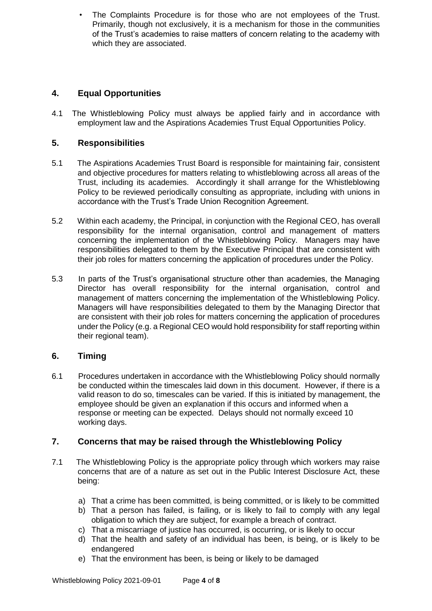The Complaints Procedure is for those who are not employees of the Trust. Primarily, though not exclusively, it is a mechanism for those in the communities of the Trust's academies to raise matters of concern relating to the academy with which they are associated.

## **4. Equal Opportunities**

4.1 The Whistleblowing Policy must always be applied fairly and in accordance with employment law and the Aspirations Academies Trust Equal Opportunities Policy.

## **5. Responsibilities**

- 5.1 The Aspirations Academies Trust Board is responsible for maintaining fair, consistent and objective procedures for matters relating to whistleblowing across all areas of the Trust, including its academies. Accordingly it shall arrange for the Whistleblowing Policy to be reviewed periodically consulting as appropriate, including with unions in accordance with the Trust's Trade Union Recognition Agreement.
- 5.2 Within each academy, the Principal, in conjunction with the Regional CEO, has overall responsibility for the internal organisation, control and management of matters concerning the implementation of the Whistleblowing Policy. Managers may have responsibilities delegated to them by the Executive Principal that are consistent with their job roles for matters concerning the application of procedures under the Policy.
- 5.3 In parts of the Trust's organisational structure other than academies, the Managing Director has overall responsibility for the internal organisation, control and management of matters concerning the implementation of the Whistleblowing Policy. Managers will have responsibilities delegated to them by the Managing Director that are consistent with their job roles for matters concerning the application of procedures under the Policy (e.g. a Regional CEO would hold responsibility for staff reporting within their regional team).

## **6. Timing**

6.1 Procedures undertaken in accordance with the Whistleblowing Policy should normally be conducted within the timescales laid down in this document. However, if there is a valid reason to do so, timescales can be varied. If this is initiated by management, the employee should be given an explanation if this occurs and informed when a response or meeting can be expected. Delays should not normally exceed 10 working days.

## **7. Concerns that may be raised through the Whistleblowing Policy**

- 7.1 The Whistleblowing Policy is the appropriate policy through which workers may raise concerns that are of a nature as set out in the Public Interest Disclosure Act, these being:
	- a) That a crime has been committed, is being committed, or is likely to be committed
	- b) That a person has failed, is failing, or is likely to fail to comply with any legal obligation to which they are subject, for example a breach of contract.
	- c) That a miscarriage of justice has occurred, is occurring, or is likely to occur
	- d) That the health and safety of an individual has been, is being, or is likely to be endangered
	- e) That the environment has been, is being or likely to be damaged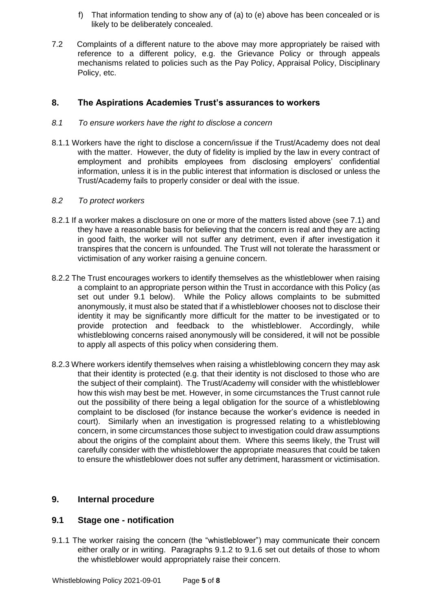- f) That information tending to show any of (a) to (e) above has been concealed or is likely to be deliberately concealed.
- 7.2 Complaints of a different nature to the above may more appropriately be raised with reference to a different policy, e.g. the Grievance Policy or through appeals mechanisms related to policies such as the Pay Policy, Appraisal Policy, Disciplinary Policy, etc.

### **8. The Aspirations Academies Trust's assurances to workers**

#### *8.1 To ensure workers have the right to disclose a concern*

8.1.1 Workers have the right to disclose a concern/issue if the Trust/Academy does not deal with the matter. However, the duty of fidelity is implied by the law in every contract of employment and prohibits employees from disclosing employers' confidential information, unless it is in the public interest that information is disclosed or unless the Trust/Academy fails to properly consider or deal with the issue.

#### *8.2 To protect workers*

- 8.2.1 If a worker makes a disclosure on one or more of the matters listed above (see 7.1) and they have a reasonable basis for believing that the concern is real and they are acting in good faith, the worker will not suffer any detriment, even if after investigation it transpires that the concern is unfounded. The Trust will not tolerate the harassment or victimisation of any worker raising a genuine concern.
- 8.2.2 The Trust encourages workers to identify themselves as the whistleblower when raising a complaint to an appropriate person within the Trust in accordance with this Policy (as set out under 9.1 below). While the Policy allows complaints to be submitted anonymously, it must also be stated that if a whistleblower chooses not to disclose their identity it may be significantly more difficult for the matter to be investigated or to provide protection and feedback to the whistleblower. Accordingly, while whistleblowing concerns raised anonymously will be considered, it will not be possible to apply all aspects of this policy when considering them.
- 8.2.3 Where workers identify themselves when raising a whistleblowing concern they may ask that their identity is protected (e.g. that their identity is not disclosed to those who are the subject of their complaint). The Trust/Academy will consider with the whistleblower how this wish may best be met. However, in some circumstances the Trust cannot rule out the possibility of there being a legal obligation for the source of a whistleblowing complaint to be disclosed (for instance because the worker's evidence is needed in court). Similarly when an investigation is progressed relating to a whistleblowing concern, in some circumstances those subject to investigation could draw assumptions about the origins of the complaint about them. Where this seems likely, the Trust will carefully consider with the whistleblower the appropriate measures that could be taken to ensure the whistleblower does not suffer any detriment, harassment or victimisation.

#### **9. Internal procedure**

#### **9.1 Stage one - notification**

9.1.1 The worker raising the concern (the "whistleblower") may communicate their concern either orally or in writing. Paragraphs 9.1.2 to 9.1.6 set out details of those to whom the whistleblower would appropriately raise their concern.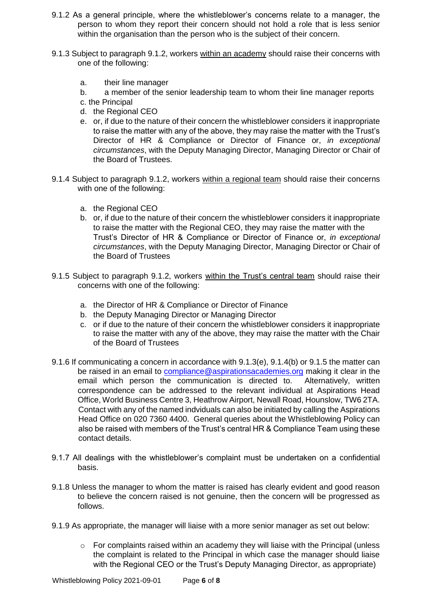- 9.1.2 As a general principle, where the whistleblower's concerns relate to a manager, the person to whom they report their concern should not hold a role that is less senior within the organisation than the person who is the subject of their concern.
- 9.1.3 Subject to paragraph 9.1.2, workers within an academy should raise their concerns with one of the following:
	- a. their line manager
	- b. a member of the senior leadership team to whom their line manager reports
	- c. the Principal
	- d. the Regional CEO
	- e. or, if due to the nature of their concern the whistleblower considers it inappropriate to raise the matter with any of the above, they may raise the matter with the Trust's Director of HR & Compliance or Director of Finance or, *in exceptional circumstances*, with the Deputy Managing Director, Managing Director or Chair of the Board of Trustees.
- 9.1.4 Subject to paragraph 9.1.2, workers within a regional team should raise their concerns with one of the following:
	- a. the Regional CEO
	- b. or, if due to the nature of their concern the whistleblower considers it inappropriate to raise the matter with the Regional CEO, they may raise the matter with the Trust's Director of HR & Compliance or Director of Finance or, *in exceptional circumstances*, with the Deputy Managing Director, Managing Director or Chair of the Board of Trustees
- 9.1.5 Subject to paragraph 9.1.2, workers within the Trust's central team should raise their concerns with one of the following:
	- a. the Director of HR & Compliance or Director of Finance
	- b. the Deputy Managing Director or Managing Director
	- c. or if due to the nature of their concern the whistleblower considers it inappropriate to raise the matter with any of the above, they may raise the matter with the Chair of the Board of Trustees
- 9.1.6 If communicating a concern in accordance with 9.1.3(e), 9.1.4(b) or 9.1.5 the matter can be raised in an email to compliance@aspirationsacademies.org making it clear in the email which person the communication is directed to. Alternatively, written correspondence can be addressed to the relevant individual at Aspirations Head Office, World Business Centre 3, Heathrow Airport, Newall Road, Hounslow, TW6 2TA. Contact with any of the named indviduals can also be initiated by calling the Aspirations Head Office on 020 7360 4400. General queries about the Whistleblowing Policy can also be raised with members of the Trust's central HR & Compliance Team using these contact details.
- 9.1.7 All dealings with the whistleblower's complaint must be undertaken on a confidential basis.
- 9.1.8 Unless the manager to whom the matter is raised has clearly evident and good reason to believe the concern raised is not genuine, then the concern will be progressed as follows.
- 9.1.9 As appropriate, the manager will liaise with a more senior manager as set out below:
	- $\circ$  For complaints raised within an academy they will liaise with the Principal (unless the complaint is related to the Principal in which case the manager should liaise with the Regional CEO or the Trust's Deputy Managing Director, as appropriate)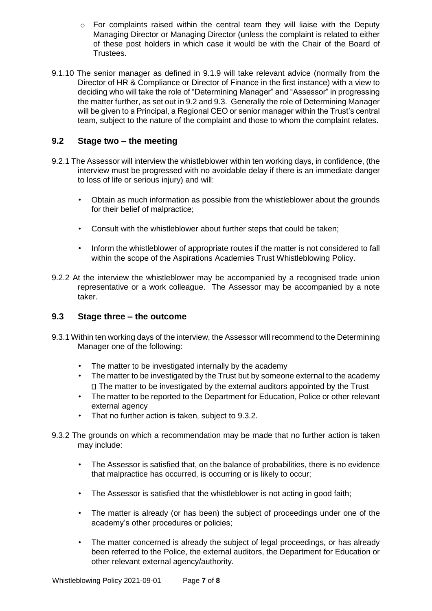- $\circ$  For complaints raised within the central team they will liaise with the Deputy Managing Director or Managing Director (unless the complaint is related to either of these post holders in which case it would be with the Chair of the Board of Trustees.
- 9.1.10 The senior manager as defined in 9.1.9 will take relevant advice (normally from the Director of HR & Compliance or Director of Finance in the first instance) with a view to deciding who will take the role of "Determining Manager" and "Assessor" in progressing the matter further, as set out in 9.2 and 9.3. Generally the role of Determining Manager will be given to a Principal, a Regional CEO or senior manager within the Trust's central team, subject to the nature of the complaint and those to whom the complaint relates.

## **9.2 Stage two – the meeting**

- 9.2.1 The Assessor will interview the whistleblower within ten working days, in confidence, (the interview must be progressed with no avoidable delay if there is an immediate danger to loss of life or serious injury) and will:
	- Obtain as much information as possible from the whistleblower about the grounds for their belief of malpractice;
	- Consult with the whistleblower about further steps that could be taken;
	- Inform the whistleblower of appropriate routes if the matter is not considered to fall within the scope of the Aspirations Academies Trust Whistleblowing Policy.
- 9.2.2 At the interview the whistleblower may be accompanied by a recognised trade union representative or a work colleague. The Assessor may be accompanied by a note taker.

## **9.3 Stage three – the outcome**

- 9.3.1 Within ten working days of the interview, the Assessor will recommend to the Determining Manager one of the following:
	- The matter to be investigated internally by the academy
	- The matter to be investigated by the Trust but by someone external to the academy  $\Box$  The matter to be investigated by the external auditors appointed by the Trust
	- The matter to be reported to the Department for Education, Police or other relevant external agency
	- That no further action is taken, subject to 9.3.2.
- 9.3.2 The grounds on which a recommendation may be made that no further action is taken may include:
	- The Assessor is satisfied that, on the balance of probabilities, there is no evidence that malpractice has occurred, is occurring or is likely to occur;
	- The Assessor is satisfied that the whistleblower is not acting in good faith;
	- The matter is already (or has been) the subject of proceedings under one of the academy's other procedures or policies;
	- The matter concerned is already the subject of legal proceedings, or has already been referred to the Police, the external auditors, the Department for Education or other relevant external agency/authority.